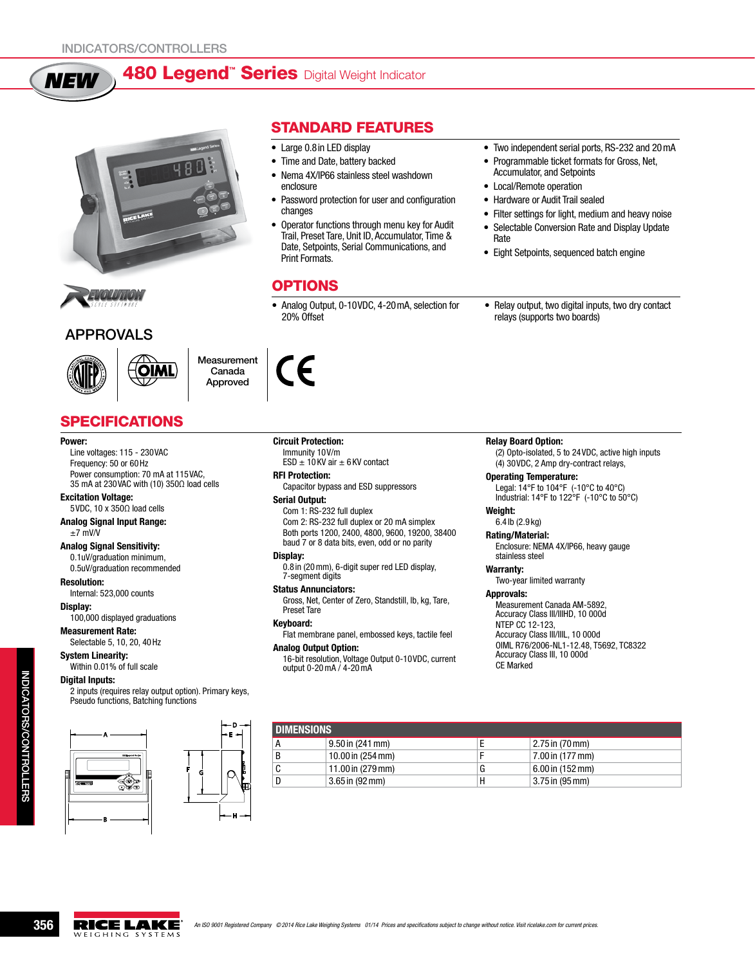# 480 Legend<sup>"</sup> Series Digital Weight Indicator



OIMI



*NEW*

# APPROVALS



**Measurement** Canada Approved

# **SPECIFICATIONS**

#### Power:

Line voltages: 115 - 230VAC Frequency: 50 or 60Hz Power consumption: 70 mA at 115VAC, 35 mA at 230VAC with (10) 350Ω load cells

#### Excitation Voltage:

5VDC, 10 x 350Ω load cells Analog Signal Input Range:

## $±7$  mV/V

Analog Signal Sensitivity:

#### 0.1uV/graduation minimum, 0.5uV/graduation recommended

Resolution:

Internal: 523,000 counts

Display: 100,000 displayed graduations

Measurement Rate:

Selectable 5, 10, 20, 40Hz System Linearity:

Within 0.01% of full scale

## Digital Inputs:

2 inputs (requires relay output option). Primary keys, Pseudo functions, Batching functions



# Standard Features

- Large 0.8 in LED display
- Time and Date, battery backed
- Nema 4X/IP66 stainless steel washdown enclosure
- Password protection for user and configuration changes
- Operator functions through menu key for Audit Trail, Preset Tare, Unit ID, Accumulator, Time & Date, Setpoints, Serial Communications, and Print Formats.

# **OPTIONS**

• Analog Output, 0-10VDC, 4-20 mA, selection for 20% Offset

- Two independent serial ports, RS-232 and 20 mA
- Programmable ticket formats for Gross, Net, Accumulator, and Setpoints
- • Local/Remote operation
- Hardware or Audit Trail sealed
- Filter settings for light, medium and heavy noise
- Selectable Conversion Rate and Display Update Rate
- • Eight Setpoints, sequenced batch engine
- Relay output, two digital inputs, two dry contact relays (supports two boards)

#### Relay Board Option:

(2) Opto-isolated, 5 to 24VDC, active high inputs (4) 30VDC, 2 Amp dry-contract relays,

#### Operating Temperature:

Legal: 14°F to 104°F (-10°C to 40°C) Industrial: 14°F to 122°F (-10°C to 50°C)

# Weight:

6.4 lb (2.9 kg) Rating/Material:

Enclosure: NEMA 4X/IP66, heavy gauge stainless steel

#### Warranty:

Two-year limited warranty

## Approvals:

Measurement Canada AM-5892, Accuracy Class III/IIIHD, 10 000d NTEP CC 12-123, Accuracy Class III/IIIL, 10 000d OIML R76/2006-NL1-12.48, T5692, TC8322 Accuracy Class III, 10 000d CE Marked

| I DIMENSIONS |                    |   |                              |  |  |  |  |
|--------------|--------------------|---|------------------------------|--|--|--|--|
|              | $9.50$ in (241 mm) |   | $ 2.75$ in $(70 \text{ mm})$ |  |  |  |  |
|              | 10.00 in (254 mm)  |   | 7.00 in (177 mm)             |  |  |  |  |
|              | 11.00 in (279 mm)  | u | 6.00 in (152 mm)             |  |  |  |  |
|              | $3.65$ in (92 mm)  | Н | $\vert 3.75$ in (95 mm)      |  |  |  |  |



Circuit Protection: Immunity 10V/m ESD  $\pm$  10 KV air  $\pm$  6 KV contact

## RFI Protection:

Capacitor bypass and ESD suppressors

### Serial Output:

Com 1: RS-232 full duplex Com 2: RS-232 full duplex or 20 mA simplex Both ports 1200, 2400, 4800, 9600, 19200, 38400 baud 7 or 8 data bits, even, odd or no parity

### Display:

0.8 in (20mm), 6-digit super red LED display, 7-segment digits

### Status Annunciators:

Gross, Net, Center of Zero, Standstill, lb, kg, Tare, Preset Tare

### Keyboard:

Flat membrane panel, embossed keys, tactile feel

### Analog Output Option:

16-bit resolution, Voltage Output 0-10VDC, current output 0-20mA / 4-20mA